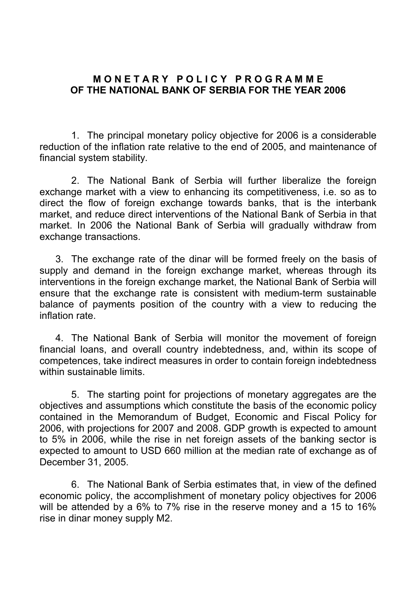## **M O N E T A R Y P O L I C Y P R O G R A M M E OF THE NATIONAL BANK OF SERBIA FOR THE YEAR 2006**

 1. The principal monetary policy objective for 2006 is a considerable reduction of the inflation rate relative to the end of 2005, and maintenance of financial system stability.

 2. The National Bank of Serbia will further liberalize the foreign exchange market with a view to enhancing its competitiveness, i.e. so as to direct the flow of foreign exchange towards banks, that is the interbank market, and reduce direct interventions of the National Bank of Serbia in that market. In 2006 the National Bank of Serbia will gradually withdraw from exchange transactions.

 3. The exchange rate of the dinar will be formed freely on the basis of supply and demand in the foreign exchange market, whereas through its interventions in the foreign exchange market, the National Bank of Serbia will ensure that the exchange rate is consistent with medium-term sustainable balance of payments position of the country with a view to reducing the inflation rate.

 4. The National Bank of Serbia will monitor the movement of foreign financial loans, and overall country indebtedness, and, within its scope of competences, take indirect measures in order to contain foreign indebtedness within sustainable limits.

 5. The starting point for projections of monetary aggregates are the objectives and assumptions which constitute the basis of the economic policy contained in the Memorandum of Budget, Economic and Fiscal Policy for 2006, with projections for 2007 and 2008. GDP growth is expected to amount to 5% in 2006, while the rise in net foreign assets of the banking sector is expected to amount to USD 660 million at the median rate of exchange as of December 31, 2005.

 6. The National Bank of Serbia estimates that, in view of the defined economic policy, the accomplishment of monetary policy objectives for 2006 will be attended by a 6% to 7% rise in the reserve money and a 15 to 16% rise in dinar money supply M2.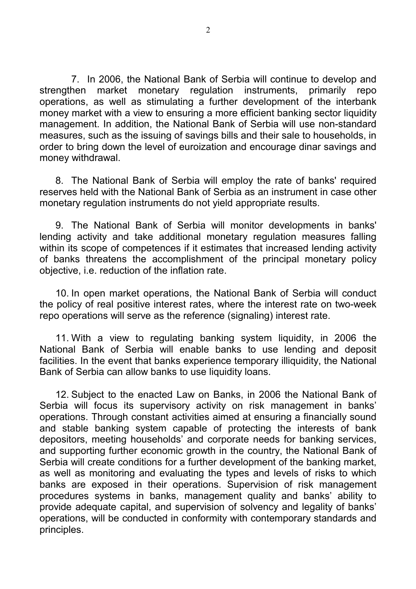7. In 2006, the National Bank of Serbia will continue to develop and strengthen market monetary regulation instruments, primarily repo operations, as well as stimulating a further development of the interbank money market with a view to ensuring a more efficient banking sector liquidity management. In addition, the National Bank of Serbia will use non-standard measures, such as the issuing of savings bills and their sale to households, in order to bring down the level of euroization and encourage dinar savings and money withdrawal.

 8. The National Bank of Serbia will employ the rate of banks' required reserves held with the National Bank of Serbia as an instrument in case other monetary regulation instruments do not yield appropriate results.

 9. The National Bank of Serbia will monitor developments in banks' lending activity and take additional monetary regulation measures falling within its scope of competences if it estimates that increased lending activity of banks threatens the accomplishment of the principal monetary policy objective, i.e. reduction of the inflation rate.

 10. In open market operations, the National Bank of Serbia will conduct the policy of real positive interest rates, where the interest rate on two-week repo operations will serve as the reference (signaling) interest rate.

11. With a view to regulating banking system liquidity, in 2006 the National Bank of Serbia will enable banks to use lending and deposit facilities. In the event that banks experience temporary illiquidity, the National Bank of Serbia can allow banks to use liquidity loans.

 12. Subject to the enacted Law on Banks, in 2006 the National Bank of Serbia will focus its supervisory activity on risk management in banks' operations. Through constant activities aimed at ensuring a financially sound and stable banking system capable of protecting the interests of bank depositors, meeting households' and corporate needs for banking services, and supporting further economic growth in the country, the National Bank of Serbia will create conditions for a further development of the banking market, as well as monitoring and evaluating the types and levels of risks to which banks are exposed in their operations. Supervision of risk management procedures systems in banks, management quality and banks' ability to provide adequate capital, and supervision of solvency and legality of banks' operations, will be conducted in conformity with contemporary standards and principles.